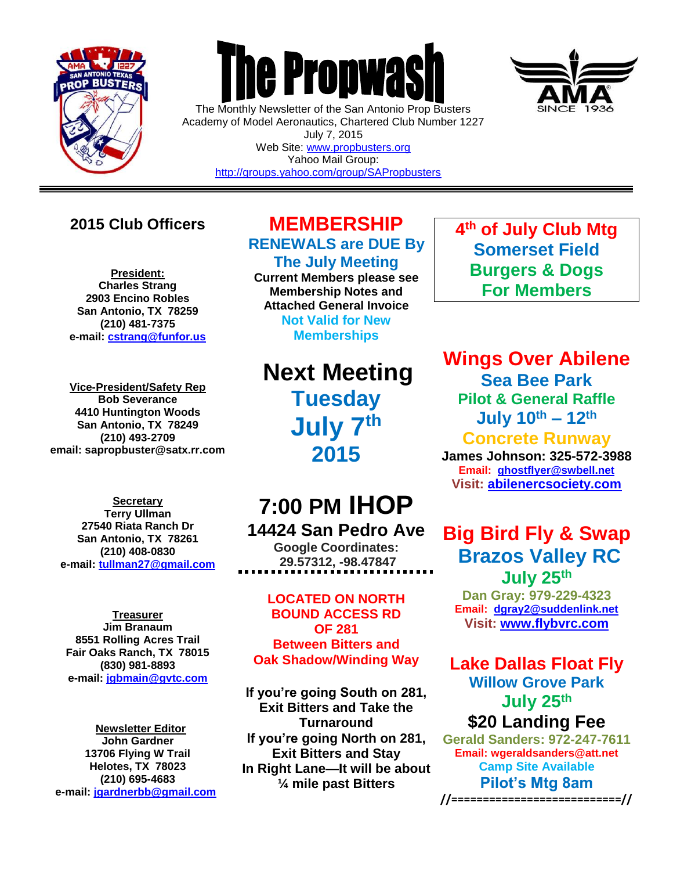

 $\overline{a}$ 

## **The Propwas**

The Monthly Newsletter of the San Antonio Prop Busters Academy of Model Aeronautics, Chartered Club Number 1227 July 7, 2015 Web Site: [www.propbusters.org](http://www.propbusters.org/) Yahoo Mail Group:

<http://groups.yahoo.com/group/SAPropbusters>

### **2015 Club Officers**

**President: Charles Strang 2903 Encino Robles San Antonio, TX 78259 (210) 481-7375 e-mail: [cstrang@funfor.us](mailto:cstrang@funfor.us)**

**Vice-President/Safety Rep Bob Severance 4410 Huntington Woods San Antonio, TX 78249 (210) 493-2709 email: sapropbuster@satx.rr.com**

**Secretary Terry Ullman 27540 Riata Ranch Dr San Antonio, TX 78261 (210) 408-0830 e-mail: [tullman27@gmail.com](mailto:tullman27@gmail.com)**

**Treasurer Jim Branaum 8551 Rolling Acres Trail Fair Oaks Ranch, TX 78015 (830) 981-8893 e-mail: [jgbmain@gvtc.com](mailto:jgbmain@gvtc.com)**

**Newsletter Editor John Gardner 13706 Flying W Trail Helotes, TX 78023 (210) 695-4683 e-mail: [jgardnerbb@gmail.com](mailto:jgardnerbb@gmail.com)**

## **MEMBERSHIP RENEWALS are DUE By**

**The July Meeting Current Members please see Membership Notes and Attached General Invoice**

> **Not Valid for New Memberships**

## **Next Meeting Tuesday**

**July 7 th 2015**

## **7:00 PM IHOP**

**14424 San Pedro Ave**

**Google Coordinates: 29.57312, -98.47847**

#### **LOCATED ON NORTH BOUND ACCESS RD OF 281 Between Bitters and Oak Shadow/Winding Way**

**If you're going South on 281, Exit Bitters and Take the Turnaround If you're going North on 281, Exit Bitters and Stay In Right Lane—It will be about ¼ mile past Bitters**

**4 th of July Club Mtg Somerset Field Burgers & Dogs For Members** 

**Wings Over Abilene**

**Sea Bee Park Pilot & General Raffle July 10 th – 12 th**

**Concrete Runway** 

**James Johnson: 325-572-3988 Email: [ghostflyer@swbell.net](mailto:ghostflyer@swbell.net) Visit: [abilenercsociety.com](http://www.austinrc.org/)**

## **Big Bird Fly & Swap Brazos Valley RC July 25th**

**Dan Gray: 979-229-4323 Email: [dgray2@suddenlink.net](mailto:dgray2@suddenlink.net) Visit: [www.flybvrc.com](http://www.flybvrc.com/)**

**Lake Dallas Float Fly Willow Grove Park July 25 th \$20 Landing Fee**

**Gerald Sanders: 972-247-7611 Email: wgeraldsanders@att.net Camp Site Available Pilot's Mtg 8am**

**//===========================//**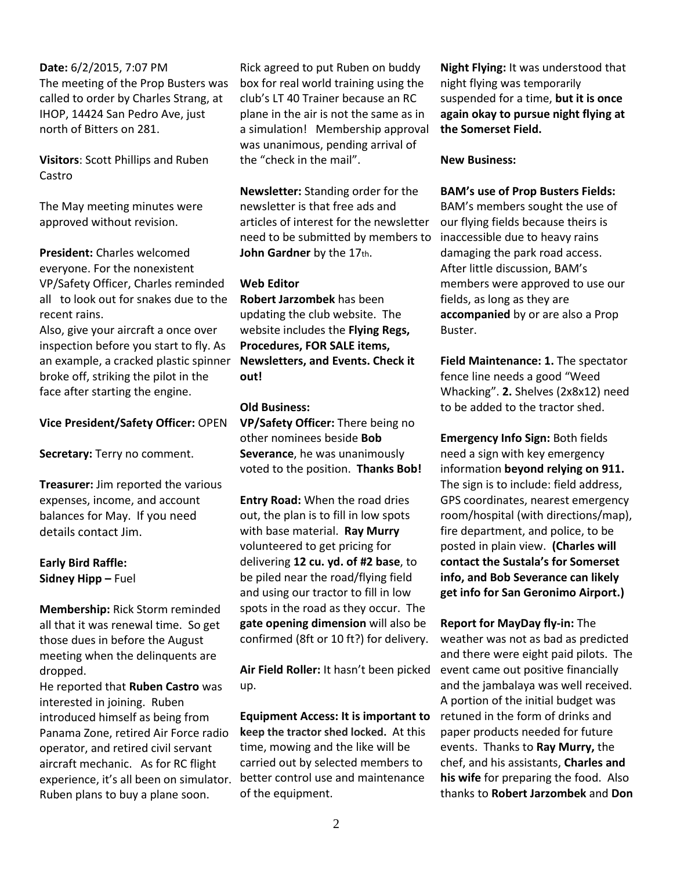#### **Date:** 6/2/2015, 7:07 PM

The meeting of the Prop Busters was called to order by Charles Strang, at IHOP, 14424 San Pedro Ave, just north of Bitters on 281.

**Visitors**: Scott Phillips and Ruben Castro

The May meeting minutes were approved without revision.

**President:** Charles welcomed everyone. For the nonexistent VP/Safety Officer, Charles reminded all to look out for snakes due to the recent rains.

Also, give your aircraft a once over inspection before you start to fly. As an example, a cracked plastic spinner broke off, striking the pilot in the face after starting the engine.

**Vice President/Safety Officer:** OPEN

**Secretary:** Terry no comment.

**Treasurer:** Jim reported the various expenses, income, and account balances for May. If you need details contact Jim.

#### **Early Bird Raffle: Sidney Hipp –** Fuel

**Membership:** Rick Storm reminded all that it was renewal time. So get those dues in before the August meeting when the delinquents are dropped.

He reported that **Ruben Castro** was interested in joining. Ruben introduced himself as being from Panama Zone, retired Air Force radio operator, and retired civil servant aircraft mechanic. As for RC flight experience, it's all been on simulator. Ruben plans to buy a plane soon.

Rick agreed to put Ruben on buddy box for real world training using the club's LT 40 Trainer because an RC plane in the air is not the same as in a simulation! Membership approval was unanimous, pending arrival of the "check in the mail".

**Newsletter:** Standing order for the newsletter is that free ads and articles of interest for the newsletter need to be submitted by members to **John Gardner** by the 17th.

#### **Web Editor**

**Robert Jarzombek** has been updating the club website. The website includes the **Flying Regs, Procedures, FOR SALE items, Newsletters, and Events. Check it out!** 

#### **Old Business:**

**VP/Safety Officer:** There being no other nominees beside **Bob Severance**, he was unanimously voted to the position. **Thanks Bob!**

**Entry Road:** When the road dries out, the plan is to fill in low spots with base material. **Ray Murry** volunteered to get pricing for delivering **12 cu. yd. of #2 base**, to be piled near the road/flying field and using our tractor to fill in low spots in the road as they occur. The **gate opening dimension** will also be confirmed (8ft or 10 ft?) for delivery.

**Air Field Roller:** It hasn't been picked up.

**Equipment Access: It is important to keep the tractor shed locked.** At this time, mowing and the like will be carried out by selected members to better control use and maintenance of the equipment.

**Night Flying:** It was understood that night flying was temporarily suspended for a time, **but it is once again okay to pursue night flying at the Somerset Field.** 

#### **New Business:**

#### **BAM's use of Prop Busters Fields:**

BAM's members sought the use of our flying fields because theirs is inaccessible due to heavy rains damaging the park road access. After little discussion, BAM's members were approved to use our fields, as long as they are **accompanied** by or are also a Prop Buster.

**Field Maintenance: 1.** The spectator fence line needs a good "Weed Whacking". **2.** Shelves (2x8x12) need to be added to the tractor shed.

**Emergency Info Sign:** Both fields need a sign with key emergency information **beyond relying on 911.**  The sign is to include: field address, GPS coordinates, nearest emergency room/hospital (with directions/map), fire department, and police, to be posted in plain view. **(Charles will contact the Sustala's for Somerset info, and Bob Severance can likely get info for San Geronimo Airport.)**

**Report for MayDay fly-in:** The weather was not as bad as predicted and there were eight paid pilots.The event came out positive financially and the jambalaya was well received. A portion of the initial budget was retuned in the form of drinks and paper products needed for future events. Thanks to **Ray Murry,** the chef, and his assistants, **Charles and his wife** for preparing the food. Also thanks to **Robert Jarzombek** and **Don**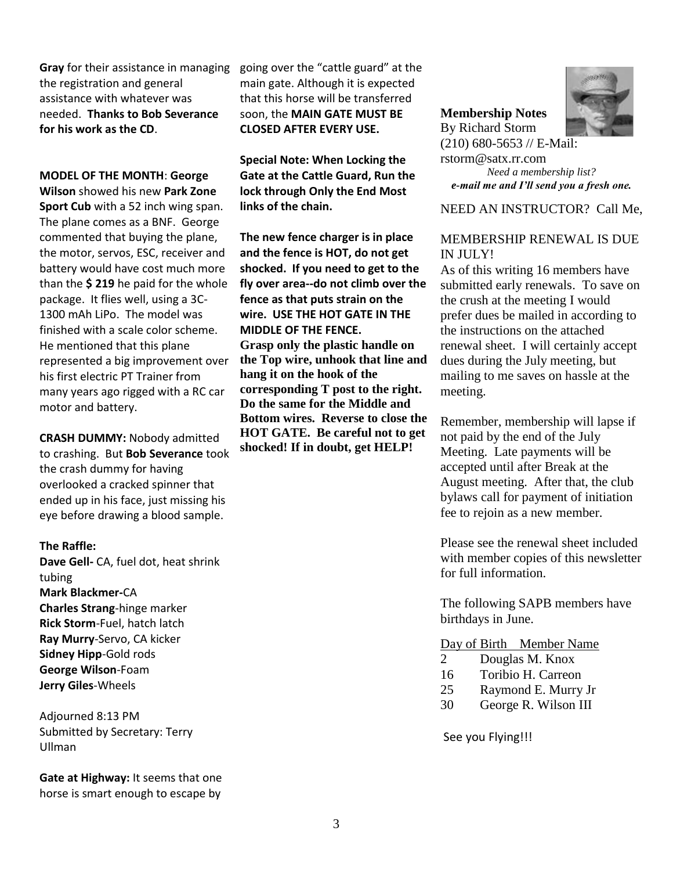**Gray** for their assistance in managing the registration and general assistance with whatever was needed. **Thanks to Bob Severance for his work as the CD**.

#### **MODEL OF THE MONTH**: **George**

**Wilson** showed his new **Park Zone Sport Cub** with a 52 inch wing span. The plane comes as a BNF. George commented that buying the plane, the motor, servos, ESC, receiver and battery would have cost much more than the **\$ 219** he paid for the whole package. It flies well, using a 3C-1300 mAh LiPo. The model was finished with a scale color scheme. He mentioned that this plane represented a big improvement over his first electric PT Trainer from many years ago rigged with a RC car motor and battery.

**CRASH DUMMY:** Nobody admitted to crashing. But **Bob Severance** took the crash dummy for having overlooked a cracked spinner that ended up in his face, just missing his eye before drawing a blood sample.

#### **The Raffle:**

**Dave Gell-** CA, fuel dot, heat shrink tubing **Mark Blackmer-**CA **Charles Strang**-hinge marker **Rick Storm**-Fuel, hatch latch **Ray Murry**-Servo, CA kicker **Sidney Hipp**-Gold rods **George Wilson**-Foam **Jerry Giles**-Wheels

Adjourned 8:13 PM Submitted by Secretary: Terry Ullman

**Gate at Highway:** It seems that one horse is smart enough to escape by

going over the "cattle guard" at the main gate. Although it is expected that this horse will be transferred soon, the **MAIN GATE MUST BE CLOSED AFTER EVERY USE.**

**Special Note: When Locking the Gate at the Cattle Guard, Run the lock through Only the End Most links of the chain.** 

**The new fence charger is in place and the fence is HOT, do not get shocked. If you need to get to the fly over area--do not climb over the fence as that puts strain on the wire. USE THE HOT GATE IN THE MIDDLE OF THE FENCE. Grasp only the plastic handle on the Top wire, unhook that line and hang it on the hook of the corresponding T post to the right. Do the same for the Middle and Bottom wires. Reverse to close the HOT GATE. Be careful not to get shocked! If in doubt, get HELP!**



**Membership Notes** By Richard Storm (210) 680-5653 // E-Mail: rstorm@satx.rr.com

*Need a membership list? e-mail me and I'll send you a fresh one.*

NEED AN INSTRUCTOR? Call Me,

#### MEMBERSHIP RENEWAL IS DUE IN JULY!

As of this writing 16 members have submitted early renewals. To save on the crush at the meeting I would prefer dues be mailed in according to the instructions on the attached renewal sheet. I will certainly accept dues during the July meeting, but mailing to me saves on hassle at the meeting.

Remember, membership will lapse if not paid by the end of the July Meeting. Late payments will be accepted until after Break at the August meeting. After that, the club bylaws call for payment of initiation fee to rejoin as a new member.

Please see the renewal sheet included with member copies of this newsletter for full information.

The following SAPB members have birthdays in June.

#### Day of Birth Member Name

| 2  | Douglas M. Knox      |
|----|----------------------|
| 16 | Toribio H. Carreon   |
| 25 | Raymond E. Murry Jr  |
| 30 | George R. Wilson III |

See you Flying!!!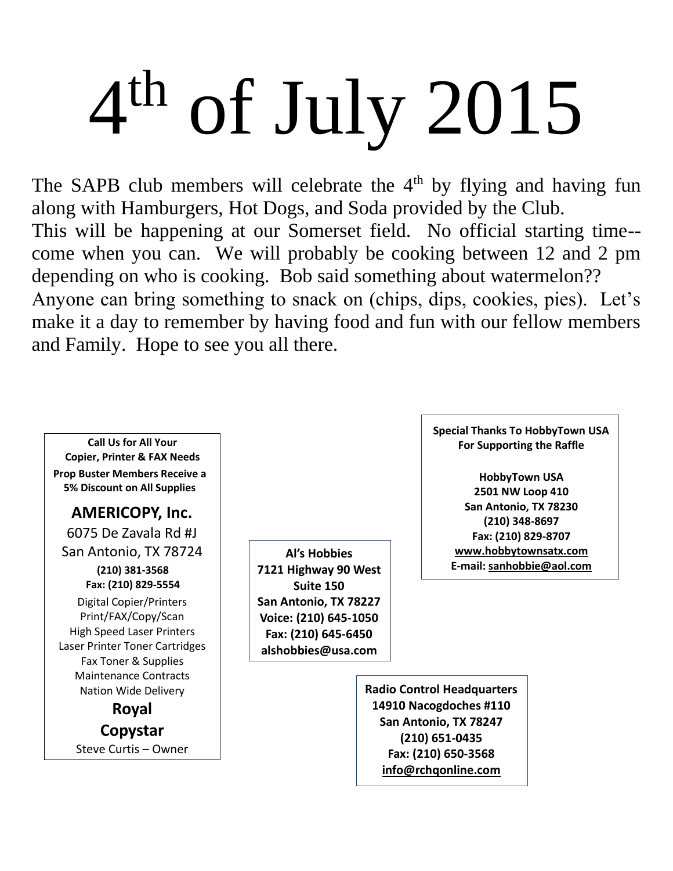# 4 th of July 2015

The SAPB club members will celebrate the  $4<sup>th</sup>$  by flying and having fun along with Hamburgers, Hot Dogs, and Soda provided by the Club. This will be happening at our Somerset field. No official starting time- come when you can. We will probably be cooking between 12 and 2 pm depending on who is cooking. Bob said something about watermelon?? Anyone can bring something to snack on (chips, dips, cookies, pies). Let's make it a day to remember by having food and fun with our fellow members and Family. Hope to see you all there.

**Call Us for All Your Copier, Printer & FAX Needs Prop Buster Members Receive a 5% Discount on All Supplies**

**AMERICOPY, Inc.** 6075 De Zavala Rd #J

San Antonio, TX 78724

**(210) 381-3568 Fax: (210) 829-5554** Digital Copier/Printers Print/FAX/Copy/Scan High Speed Laser Printers Laser Printer Toner Cartridges Fax Toner & Supplies Maintenance Contracts Nation Wide Delivery

> **Royal Copystar** Steve Curtis – Owner

**Al's Hobbies 7121 Highway 90 West Suite 150 San Antonio, TX 78227 Voice: (210) 645-1050 Fax: (210) 645-6450 alshobbies@usa.com**

**Special Thanks To HobbyTown USA For Supporting the Raffle**

**HobbyTown USA 2501 NW Loop 410 San Antonio, TX 78230 (210) 348-8697 Fax: (210) 829-8707 [www.hobbytownsatx.com](http://www.hobbytownsatx.com/) E-mail[: sanhobbie@aol.com](mailto:sanhobbie@aol.com)**

**Radio Control Headquarters 14910 Nacogdoches #110 San Antonio, TX 78247 (210) 651-0435 Fax: (210) 650-3568 [info@rchqonline.com](mailto:info@rchqonline.com)**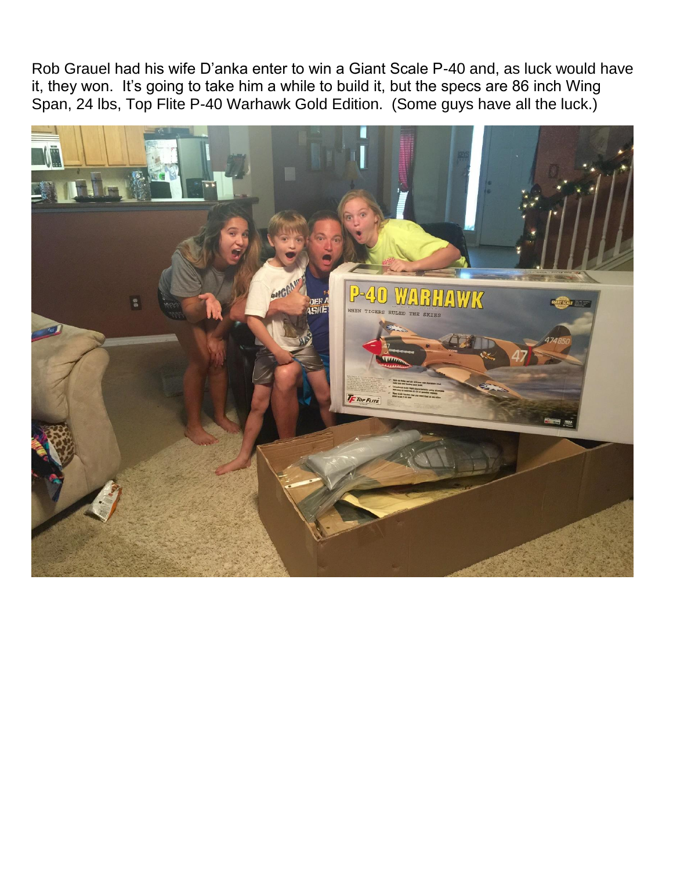Rob Grauel had his wife D'anka enter to win a Giant Scale P-40 and, as luck would have it, they won. It's going to take him a while to build it, but the specs are 86 inch Wing Span, 24 lbs, Top Flite P-40 Warhawk Gold Edition. (Some guys have all the luck.)